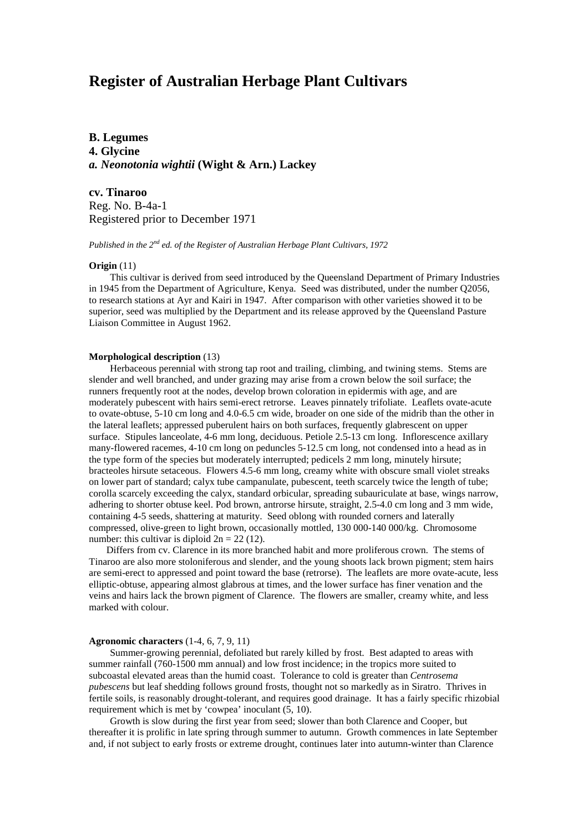**B. Legumes 4. Glycine** *a. Neonotonia wightii* **(Wight & Arn.) Lackey**

**cv. Tinaroo** Reg. No. B-4a-1 Registered prior to December 1971

*Published in the 2nd ed. of the Register of Australian Herbage Plant Cultivars, 1972*

### **Origin** (11)

This cultivar is derived from seed introduced by the Queensland Department of Primary Industries in 1945 from the Department of Agriculture, Kenya. Seed was distributed, under the number Q2056, to research stations at Ayr and Kairi in 1947. After comparison with other varieties showed it to be superior, seed was multiplied by the Department and its release approved by the Queensland Pasture Liaison Committee in August 1962.

#### **Morphological description** (13)

 Herbaceous perennial with strong tap root and trailing, climbing, and twining stems. Stems are slender and well branched, and under grazing may arise from a crown below the soil surface; the runners frequently root at the nodes, develop brown coloration in epidermis with age, and are moderately pubescent with hairs semi-erect retrorse. Leaves pinnately trifoliate. Leaflets ovate-acute to ovate-obtuse, 5-10 cm long and 4.0-6.5 cm wide, broader on one side of the midrib than the other in the lateral leaflets; appressed puberulent hairs on both surfaces, frequently glabrescent on upper surface. Stipules lanceolate, 4-6 mm long, deciduous. Petiole 2.5-13 cm long. Inflorescence axillary many-flowered racemes, 4-10 cm long on peduncles 5-12.5 cm long, not condensed into a head as in the type form of the species but moderately interrupted; pedicels 2 mm long, minutely hirsute; bracteoles hirsute setaceous. Flowers 4.5-6 mm long, creamy white with obscure small violet streaks on lower part of standard; calyx tube campanulate, pubescent, teeth scarcely twice the length of tube; corolla scarcely exceeding the calyx, standard orbicular, spreading subauriculate at base, wings narrow, adhering to shorter obtuse keel. Pod brown, antrorse hirsute, straight, 2.5-4.0 cm long and 3 mm wide, containing 4-5 seeds, shattering at maturity. Seed oblong with rounded corners and laterally compressed, olive-green to light brown, occasionally mottled, 130 000-140 000/kg. Chromosome number: this cultivar is diploid  $2n = 22$  (12).

 Differs from cv. Clarence in its more branched habit and more proliferous crown. The stems of Tinaroo are also more stoloniferous and slender, and the young shoots lack brown pigment; stem hairs are semi-erect to appressed and point toward the base (retrorse). The leaflets are more ovate-acute, less elliptic-obtuse, appearing almost glabrous at times, and the lower surface has finer venation and the veins and hairs lack the brown pigment of Clarence. The flowers are smaller, creamy white, and less marked with colour.

### **Agronomic characters** (1-4, 6, 7, 9, 11)

Summer-growing perennial, defoliated but rarely killed by frost. Best adapted to areas with summer rainfall (760-1500 mm annual) and low frost incidence; in the tropics more suited to subcoastal elevated areas than the humid coast. Tolerance to cold is greater than *Centrosema pubescens* but leaf shedding follows ground frosts, thought not so markedly as in Siratro. Thrives in fertile soils, is reasonably drought-tolerant, and requires good drainage. It has a fairly specific rhizobial requirement which is met by 'cowpea' inoculant (5, 10).

Growth is slow during the first year from seed; slower than both Clarence and Cooper, but thereafter it is prolific in late spring through summer to autumn. Growth commences in late September and, if not subject to early frosts or extreme drought, continues later into autumn-winter than Clarence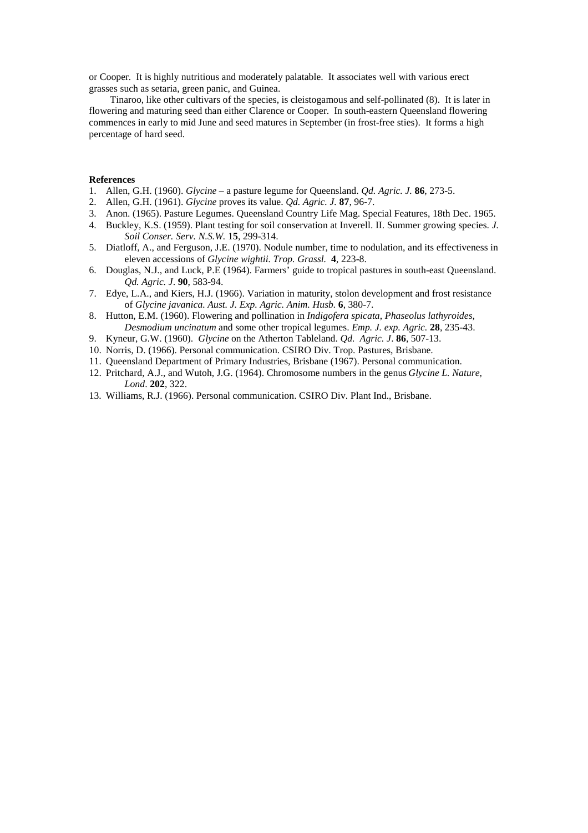or Cooper. It is highly nutritious and moderately palatable. It associates well with various erect grasses such as setaria, green panic, and Guinea.

Tinaroo, like other cultivars of the species, is cleistogamous and self-pollinated (8). It is later in flowering and maturing seed than either Clarence or Cooper. In south-eastern Queensland flowering commences in early to mid June and seed matures in September (in frost-free sties). It forms a high percentage of hard seed.

### **References**

- 1. Allen, G.H. (1960). *Glycine* a pasture legume for Queensland. *Qd. Agric. J.* **86**, 273-5.
- 2. Allen, G.H. (1961). *Glycine* proves its value. *Qd. Agric. J.* **87**, 96-7.
- 3. Anon. (1965). Pasture Legumes. Queensland Country Life Mag. Special Features, 18th Dec. 1965.
- 4. Buckley, K.S. (1959). Plant testing for soil conservation at Inverell. II. Summer growing species. *J. Soil Conser. Serv. N.S.W.* 1**5**, 299-314.
- 5. Diatloff, A., and Ferguson, J.E. (1970). Nodule number, time to nodulation, and its effectiveness in eleven accessions of *Glycine wightii. Trop. Grassl.* **4**, 223-8.
- 6. Douglas, N.J., and Luck, P.E (1964). Farmers' guide to tropical pastures in south-east Queensland. *Qd. Agric. J*. **90**, 583-94.
- 7. Edye, L.A., and Kiers, H.J. (1966). Variation in maturity, stolon development and frost resistance of *Glycine javanica. Aust. J. Exp. Agric. Anim. Husb.* **6**, 380-7.
- 8. Hutton, E.M. (1960). Flowering and pollination in *Indigofera spicata*, *Phaseolus lathyroides, Desmodium uncinatum* and some other tropical legumes. *Emp. J. exp. Agric.* **28**, 235-43.
- 9. Kyneur, G.W. (1960). *Glycine* on the Atherton Tableland. *Qd. Agric. J*. **86**, 507-13.
- 10. Norris, D. (1966). Personal communication. CSIRO Div. Trop. Pastures, Brisbane.
- 11. Queensland Department of Primary Industries, Brisbane (1967). Personal communication.
- 12. Pritchard, A.J., and Wutoh, J.G. (1964). Chromosome numbers in the genus *Glycine L. Nature, Lond*. **202**, 322.
- 13. Williams, R.J. (1966). Personal communication. CSIRO Div. Plant Ind., Brisbane.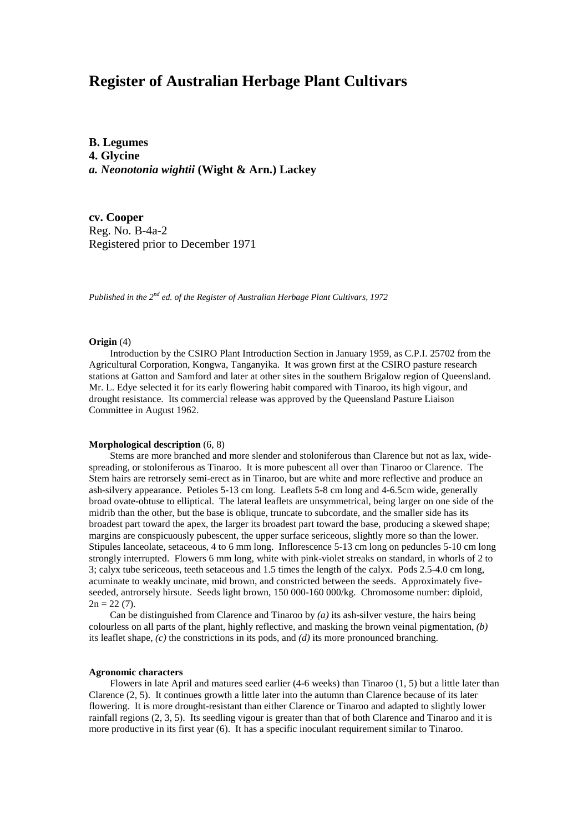**B. Legumes 4. Glycine** *a. Neonotonia wightii* **(Wight & Arn.) Lackey**

**cv. Cooper** Reg. No. B-4a-2 Registered prior to December 1971

*Published in the 2nd ed. of the Register of Australian Herbage Plant Cultivars, 1972*

### **Origin** (4)

Introduction by the CSIRO Plant Introduction Section in January 1959, as C.P.I. 25702 from the Agricultural Corporation, Kongwa, Tanganyika. It was grown first at the CSIRO pasture research stations at Gatton and Samford and later at other sites in the southern Brigalow region of Queensland. Mr. L. Edye selected it for its early flowering habit compared with Tinaroo, its high vigour, and drought resistance. Its commercial release was approved by the Queensland Pasture Liaison Committee in August 1962.

#### **Morphological description** (6, 8)

Stems are more branched and more slender and stoloniferous than Clarence but not as lax, widespreading, or stoloniferous as Tinaroo. It is more pubescent all over than Tinaroo or Clarence. The Stem hairs are retrorsely semi-erect as in Tinaroo, but are white and more reflective and produce an ash-silvery appearance. Petioles 5-13 cm long. Leaflets 5-8 cm long and 4-6.5cm wide, generally broad ovate-obtuse to elliptical. The lateral leaflets are unsymmetrical, being larger on one side of the midrib than the other, but the base is oblique, truncate to subcordate, and the smaller side has its broadest part toward the apex, the larger its broadest part toward the base, producing a skewed shape; margins are conspicuously pubescent, the upper surface sericeous, slightly more so than the lower. Stipules lanceolate, setaceous, 4 to 6 mm long. Inflorescence 5-13 cm long on peduncles 5-10 cm long strongly interrupted. Flowers 6 mm long, white with pink-violet streaks on standard, in whorls of 2 to 3; calyx tube sericeous, teeth setaceous and 1.5 times the length of the calyx. Pods 2.5-4.0 cm long, acuminate to weakly uncinate, mid brown, and constricted between the seeds. Approximately fiveseeded, antrorsely hirsute. Seeds light brown, 150 000-160 000/kg. Chromosome number: diploid,  $2n = 22(7)$ .

Can be distinguished from Clarence and Tinaroo by *(a)* its ash-silver vesture, the hairs being colourless on all parts of the plant, highly reflective, and masking the brown veinal pigmentation, *(b)* its leaflet shape, *(c)* the constrictions in its pods, and *(d)* its more pronounced branching.

### **Agronomic characters**

Flowers in late April and matures seed earlier  $(4-6$  weeks) than Tinaroo  $(1, 5)$  but a little later than Clarence (2, 5). It continues growth a little later into the autumn than Clarence because of its later flowering. It is more drought-resistant than either Clarence or Tinaroo and adapted to slightly lower rainfall regions (2, 3, 5). Its seedling vigour is greater than that of both Clarence and Tinaroo and it is more productive in its first year (6). It has a specific inoculant requirement similar to Tinaroo.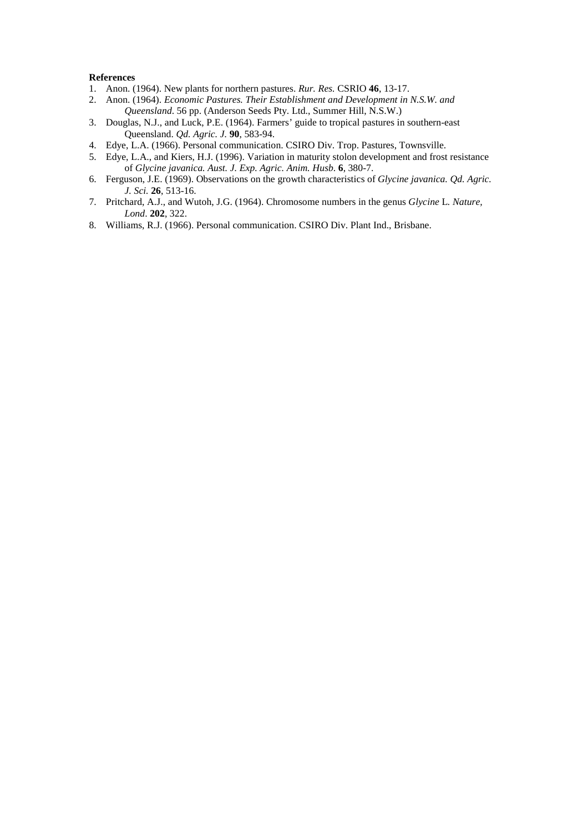### **References**

- 1. Anon. (1964). New plants for northern pastures. *Rur. Res.* CSRIO **46**, 13-17.
- 2. Anon. (1964). *Economic Pastures. Their Establishment and Development in N.S.W. and Queensland*. 56 pp. (Anderson Seeds Pty. Ltd., Summer Hill, N.S.W.)
- 3. Douglas, N.J., and Luck, P.E. (1964). Farmers' guide to tropical pastures in southern-east Queensland. *Qd. Agric. J.* **90**, 583-94.
- 4. Edye, L.A. (1966). Personal communication. CSIRO Div. Trop. Pastures, Townsville.
- 5. Edye, L.A., and Kiers, H.J. (1996). Variation in maturity stolon development and frost resistance of *Glycine javanica. Aust. J. Exp. Agric. Anim. Husb*. **6**, 380-7.
- 6. Ferguson, J.E. (1969). Observations on the growth characteristics of *Glycine javanica. Qd. Agric. J. Sci.* **26**, 513-16.
- 7. Pritchard, A.J., and Wutoh, J.G. (1964). Chromosome numbers in the genus *Glycine* L*. Nature, Lond*. **202**, 322.
- 8. Williams, R.J. (1966). Personal communication. CSIRO Div. Plant Ind., Brisbane.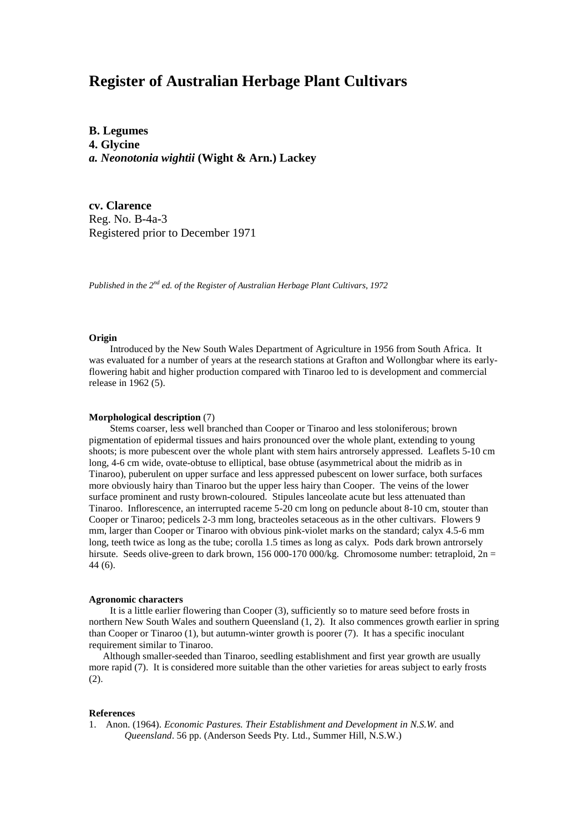**B. Legumes 4. Glycine** *a. Neonotonia wightii* **(Wight & Arn.) Lackey**

**cv. Clarence** Reg. No. B-4a-3 Registered prior to December 1971

*Published in the 2nd ed. of the Register of Australian Herbage Plant Cultivars, 1972*

### **Origin**

Introduced by the New South Wales Department of Agriculture in 1956 from South Africa. It was evaluated for a number of years at the research stations at Grafton and Wollongbar where its earlyflowering habit and higher production compared with Tinaroo led to is development and commercial release in 1962 (5).

### **Morphological description** (7)

Stems coarser, less well branched than Cooper or Tinaroo and less stoloniferous; brown pigmentation of epidermal tissues and hairs pronounced over the whole plant, extending to young shoots; is more pubescent over the whole plant with stem hairs antrorsely appressed. Leaflets 5-10 cm long, 4-6 cm wide, ovate-obtuse to elliptical, base obtuse (asymmetrical about the midrib as in Tinaroo), puberulent on upper surface and less appressed pubescent on lower surface, both surfaces more obviously hairy than Tinaroo but the upper less hairy than Cooper. The veins of the lower surface prominent and rusty brown-coloured. Stipules lanceolate acute but less attenuated than Tinaroo. Inflorescence, an interrupted raceme 5-20 cm long on peduncle about 8-10 cm, stouter than Cooper or Tinaroo; pedicels 2-3 mm long, bracteoles setaceous as in the other cultivars. Flowers 9 mm, larger than Cooper or Tinaroo with obvious pink-violet marks on the standard; calyx 4.5-6 mm long, teeth twice as long as the tube; corolla 1.5 times as long as calyx. Pods dark brown antrorsely hirsute. Seeds olive-green to dark brown, 156 000-170 000/kg. Chromosome number: tetraploid, 2n = 44 (6).

#### **Agronomic characters**

It is a little earlier flowering than Cooper (3), sufficiently so to mature seed before frosts in northern New South Wales and southern Queensland (1, 2). It also commences growth earlier in spring than Cooper or Tinaroo (1), but autumn-winter growth is poorer (7). It has a specific inoculant requirement similar to Tinaroo.

Although smaller-seeded than Tinaroo, seedling establishment and first year growth are usually more rapid (7). It is considered more suitable than the other varieties for areas subject to early frosts (2).

### **References**

1. Anon. (1964). *Economic Pastures. Their Establishment and Development in N.S.W.* and *Queensland*. 56 pp. (Anderson Seeds Pty. Ltd., Summer Hill, N.S.W.)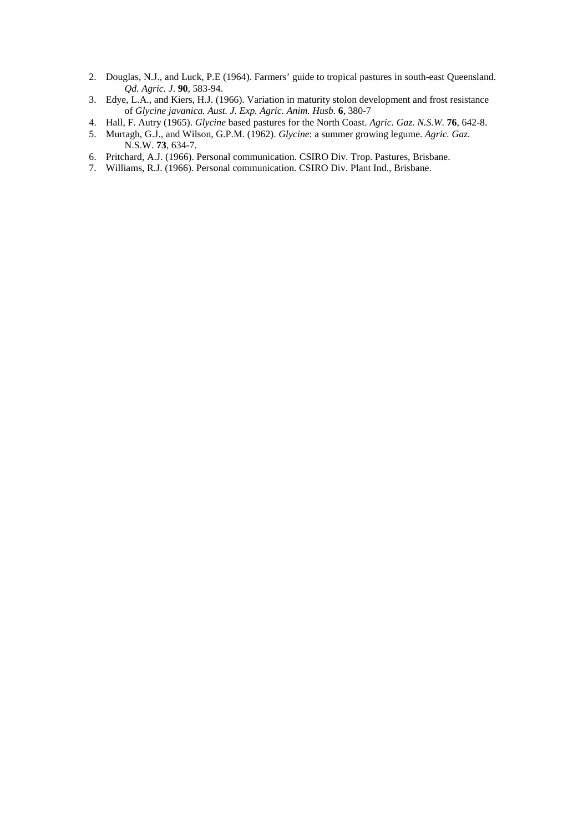- 2. Douglas, N.J., and Luck, P.E (1964). Farmers' guide to tropical pastures in south-east Queensland. *Qd. Agric. J*. **90**, 583-94.
- 3. Edye, L.A., and Kiers, H.J. (1966). Variation in maturity stolon development and frost resistance of *Glycine javanica. Aust. J. Exp. Agric. Anim. Husb.* **6**, 380-7
- 4. Hall, F. Autry (1965). *Glycine* based pastures for the North Coast. *Agric. Gaz*. *N.S.W*. **76**, 642-8.
- 5. Murtagh, G.J., and Wilson, G.P.M. (1962). *Glycine*: a summer growing legume. *Agric. Gaz.* N.S.W. **73**, 634-7.
- 6. Pritchard, A.J. (1966). Personal communication. CSIRO Div. Trop. Pastures, Brisbane.
- 7. Williams, R.J. (1966). Personal communication. CSIRO Div. Plant Ind., Brisbane.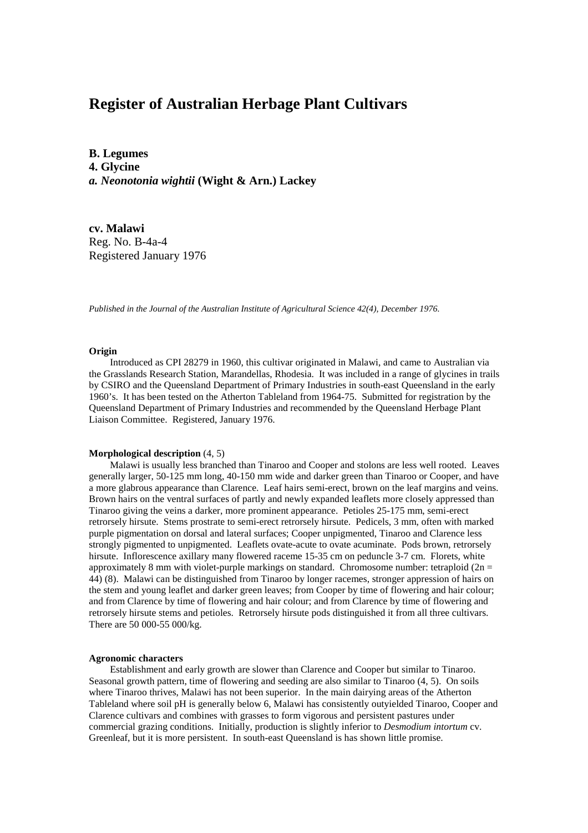**B. Legumes 4. Glycine** *a. Neonotonia wightii* **(Wight & Arn.) Lackey**

**cv. Malawi** Reg. No. B-4a-4 Registered January 1976

*Published in the Journal of the Australian Institute of Agricultural Science 42(4), December 1976.*

### **Origin**

Introduced as CPI 28279 in 1960, this cultivar originated in Malawi, and came to Australian via the Grasslands Research Station, Marandellas, Rhodesia. It was included in a range of glycines in trails by CSIRO and the Queensland Department of Primary Industries in south-east Queensland in the early 1960's. It has been tested on the Atherton Tableland from 1964-75. Submitted for registration by the Queensland Department of Primary Industries and recommended by the Queensland Herbage Plant Liaison Committee. Registered, January 1976.

### **Morphological description** (4, 5)

Malawi is usually less branched than Tinaroo and Cooper and stolons are less well rooted. Leaves generally larger, 50-125 mm long, 40-150 mm wide and darker green than Tinaroo or Cooper, and have a more glabrous appearance than Clarence. Leaf hairs semi-erect, brown on the leaf margins and veins. Brown hairs on the ventral surfaces of partly and newly expanded leaflets more closely appressed than Tinaroo giving the veins a darker, more prominent appearance. Petioles 25-175 mm, semi-erect retrorsely hirsute. Stems prostrate to semi-erect retrorsely hirsute. Pedicels, 3 mm, often with marked purple pigmentation on dorsal and lateral surfaces; Cooper unpigmented, Tinaroo and Clarence less strongly pigmented to unpigmented. Leaflets ovate-acute to ovate acuminate. Pods brown, retrorsely hirsute. Inflorescence axillary many flowered raceme 15-35 cm on peduncle 3-7 cm. Florets, white approximately 8 mm with violet-purple markings on standard. Chromosome number: tetraploid  $(2n =$ 44) (8). Malawi can be distinguished from Tinaroo by longer racemes, stronger appression of hairs on the stem and young leaflet and darker green leaves; from Cooper by time of flowering and hair colour; and from Clarence by time of flowering and hair colour; and from Clarence by time of flowering and retrorsely hirsute stems and petioles. Retrorsely hirsute pods distinguished it from all three cultivars. There are 50 000-55 000/kg.

### **Agronomic characters**

Establishment and early growth are slower than Clarence and Cooper but similar to Tinaroo. Seasonal growth pattern, time of flowering and seeding are also similar to Tinaroo (4, 5). On soils where Tinaroo thrives, Malawi has not been superior. In the main dairying areas of the Atherton Tableland where soil pH is generally below 6, Malawi has consistently outyielded Tinaroo, Cooper and Clarence cultivars and combines with grasses to form vigorous and persistent pastures under commercial grazing conditions. Initially, production is slightly inferior to *Desmodium intortum* cv. Greenleaf, but it is more persistent. In south-east Queensland is has shown little promise.